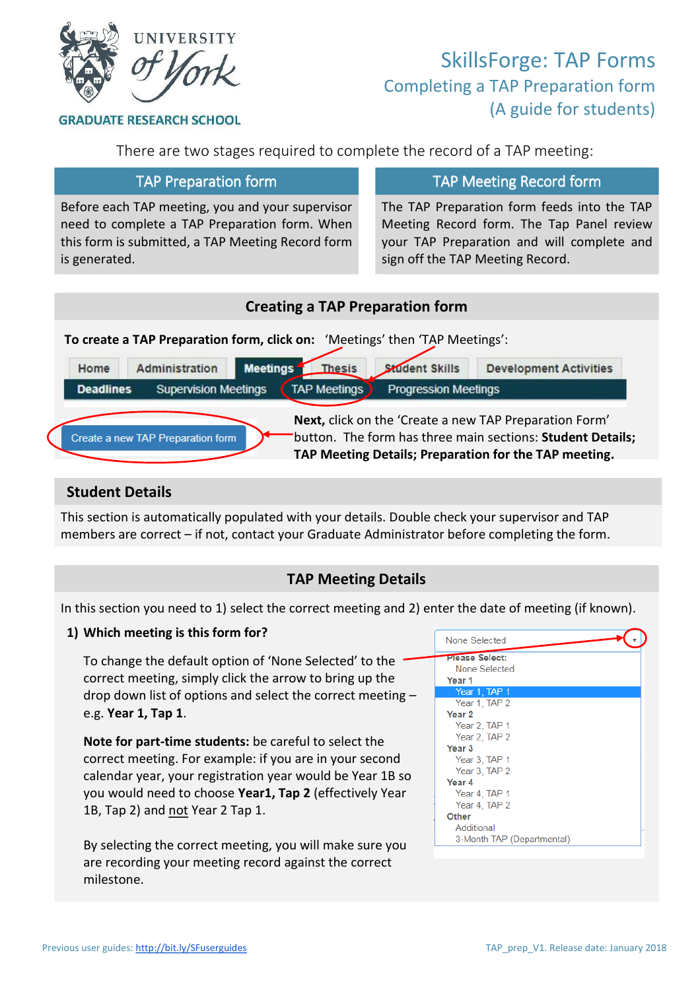

# SkillsForge: TAP Forms Completing a TAP Preparation form (A guide for students)

**GRADUATE RESEARCH SCHOOL** 

There are two stages required to complete the record of a TAP meeting:

Before each TAP meeting, you and your supervisor need to complete a TAP Preparation form. When this form is submitted, a TAP Meeting Record form is generated.

## TAP Preparation form TAP Meeting Record form

The TAP Preparation form feeds into the TAP Meeting Record form. The Tap Panel review your TAP Preparation and will complete and sign off the TAP Meeting Record.

#### **Creating a TAP Preparation form To create a TAP Preparation form, click on:** 'Meetings' then 'TAP Meetings':Administration **Meetings** Thesis **Student Skills Development Activities** Home **Deadlines Supervision Meetings TAP Meetings Progression Meetings Next,** click on the 'Create a new TAP Preparation Form' Create a new TAP Preparation form button. The form has three main sections: **Student Details; TAP Meeting Details; Preparation for the TAP meeting.**

#### **Student Details**

This section is automatically populated with your details. Double check your supervisor and TAP members are correct – if not, contact your Graduate Administrator before completing the form.

## **TAP Meeting Details**

In this section you need to 1) select the correct meeting and 2) enter the date of meeting (if known).

#### **1) Which meeting is this form for?**

To change the default option of 'None Selected' to the correct meeting, simply click the arrow to bring up the drop down list of options and select the correct meeting – e.g. **Year 1, Tap 1**.

**Note for part-time students:** be careful to select the correct meeting. For example: if you are in your second calendar year, your registration year would be Year 1B so you would need to choose **Year1, Tap 2** (effectively Year 1B, Tap 2) and not Year 2 Tap 1.

By selecting the correct meeting, you will make sure you are recording your meeting record against the correct milestone.

| None Selected              |  |
|----------------------------|--|
| Please Select:             |  |
| None Selected              |  |
| Year <sub>1</sub>          |  |
| Year 1, TAP 1              |  |
| Year 1, TAP 2              |  |
| Year <sub>2</sub>          |  |
| Year 2, TAP 1              |  |
| Year 2, TAP 2              |  |
| Year <sub>3</sub>          |  |
| Year 3, TAP 1              |  |
| Year 3, TAP 2              |  |
| Year 4                     |  |
| Year 4, TAP 1              |  |
| Year 4, TAP 2              |  |
| Other                      |  |
| Additional                 |  |
| 3-Month TAP (Departmental) |  |